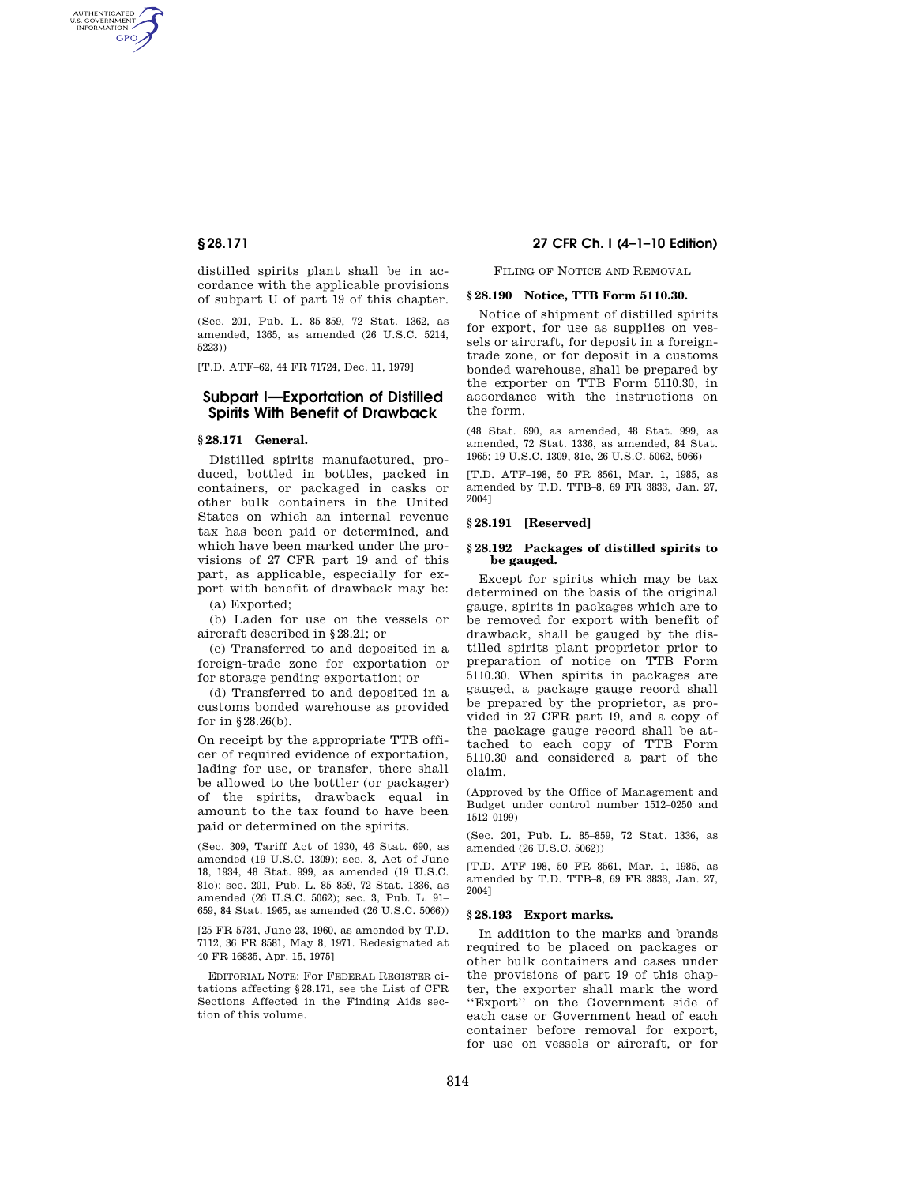AUTHENTICATED<br>U.S. GOVERNMENT<br>INFORMATION GPO

> distilled spirits plant shall be in accordance with the applicable provisions of subpart U of part 19 of this chapter.

> (Sec. 201, Pub. L. 85–859, 72 Stat. 1362, as amended, 1365, as amended (26 U.S.C. 5214, 5223))

[T.D. ATF–62, 44 FR 71724, Dec. 11, 1979]

# **Subpart I—Exportation of Distilled Spirits With Benefit of Drawback**

# **§ 28.171 General.**

Distilled spirits manufactured, produced, bottled in bottles, packed in containers, or packaged in casks or other bulk containers in the United States on which an internal revenue tax has been paid or determined, and which have been marked under the provisions of 27 CFR part 19 and of this part, as applicable, especially for export with benefit of drawback may be:

(a) Exported;

(b) Laden for use on the vessels or aircraft described in §28.21; or

(c) Transferred to and deposited in a foreign-trade zone for exportation or for storage pending exportation; or

(d) Transferred to and deposited in a customs bonded warehouse as provided for in §28.26(b).

On receipt by the appropriate TTB officer of required evidence of exportation, lading for use, or transfer, there shall be allowed to the bottler (or packager) of the spirits, drawback equal in amount to the tax found to have been paid or determined on the spirits.

(Sec. 309, Tariff Act of 1930, 46 Stat. 690, as amended (19 U.S.C. 1309); sec. 3, Act of June 18, 1934, 48 Stat. 999, as amended (19 U.S.C. 81c); sec. 201, Pub. L. 85–859, 72 Stat. 1336, as amended (26 U.S.C. 5062); sec. 3, Pub. L. 91– 659, 84 Stat. 1965, as amended (26 U.S.C. 5066))

[25 FR 5734, June 23, 1960, as amended by T.D. 7112, 36 FR 8581, May 8, 1971. Redesignated at 40 FR 16835, Apr. 15, 1975]

EDITORIAL NOTE: For FEDERAL REGISTER citations affecting §28.171, see the List of CFR Sections Affected in the Finding Aids section of this volume.

# **§ 28.171 27 CFR Ch. I (4–1–10 Edition)**

FILING OF NOTICE AND REMOVAL

# **§ 28.190 Notice, TTB Form 5110.30.**

Notice of shipment of distilled spirits for export, for use as supplies on vessels or aircraft, for deposit in a foreigntrade zone, or for deposit in a customs bonded warehouse, shall be prepared by the exporter on TTB Form 5110.30, in accordance with the instructions on the form.

(48 Stat. 690, as amended, 48 Stat. 999, as amended, 72 Stat. 1336, as amended, 84 Stat. 1965; 19 U.S.C. 1309, 81c, 26 U.S.C. 5062, 5066)

[T.D. ATF–198, 50 FR 8561, Mar. 1, 1985, as amended by T.D. TTB–8, 69 FR 3833, Jan. 27, 2004]

## **§ 28.191 [Reserved]**

#### **§ 28.192 Packages of distilled spirits to be gauged.**

Except for spirits which may be tax determined on the basis of the original gauge, spirits in packages which are to be removed for export with benefit of drawback, shall be gauged by the distilled spirits plant proprietor prior to preparation of notice on TTB Form 5110.30. When spirits in packages are gauged, a package gauge record shall be prepared by the proprietor, as provided in 27 CFR part 19, and a copy of the package gauge record shall be attached to each copy of TTB Form 5110.30 and considered a part of the claim.

(Approved by the Office of Management and Budget under control number 1512–0250 and 1512–0199)

(Sec. 201, Pub. L. 85–859, 72 Stat. 1336, as amended (26 U.S.C. 5062))

[T.D. ATF–198, 50 FR 8561, Mar. 1, 1985, as amended by T.D. TTB–8, 69 FR 3833, Jan. 27, 2004]

#### **§ 28.193 Export marks.**

In addition to the marks and brands required to be placed on packages or other bulk containers and cases under the provisions of part 19 of this chapter, the exporter shall mark the word ''Export'' on the Government side of each case or Government head of each container before removal for export, for use on vessels or aircraft, or for